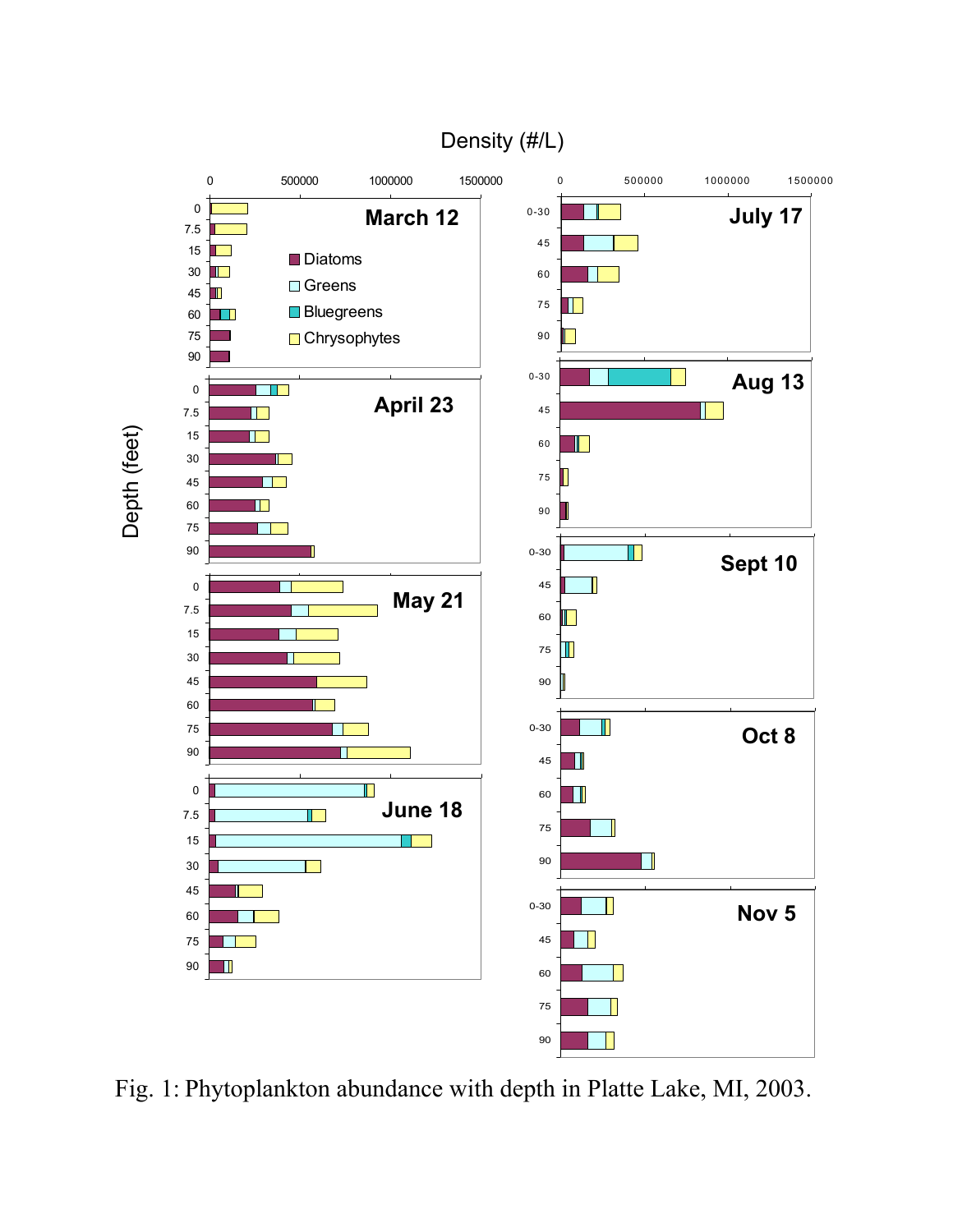## Density (#/L)



Fig. 1: Phytoplankton abundance with depth in Platte Lake, MI, 2003.

Depth (feet) Depth (feet)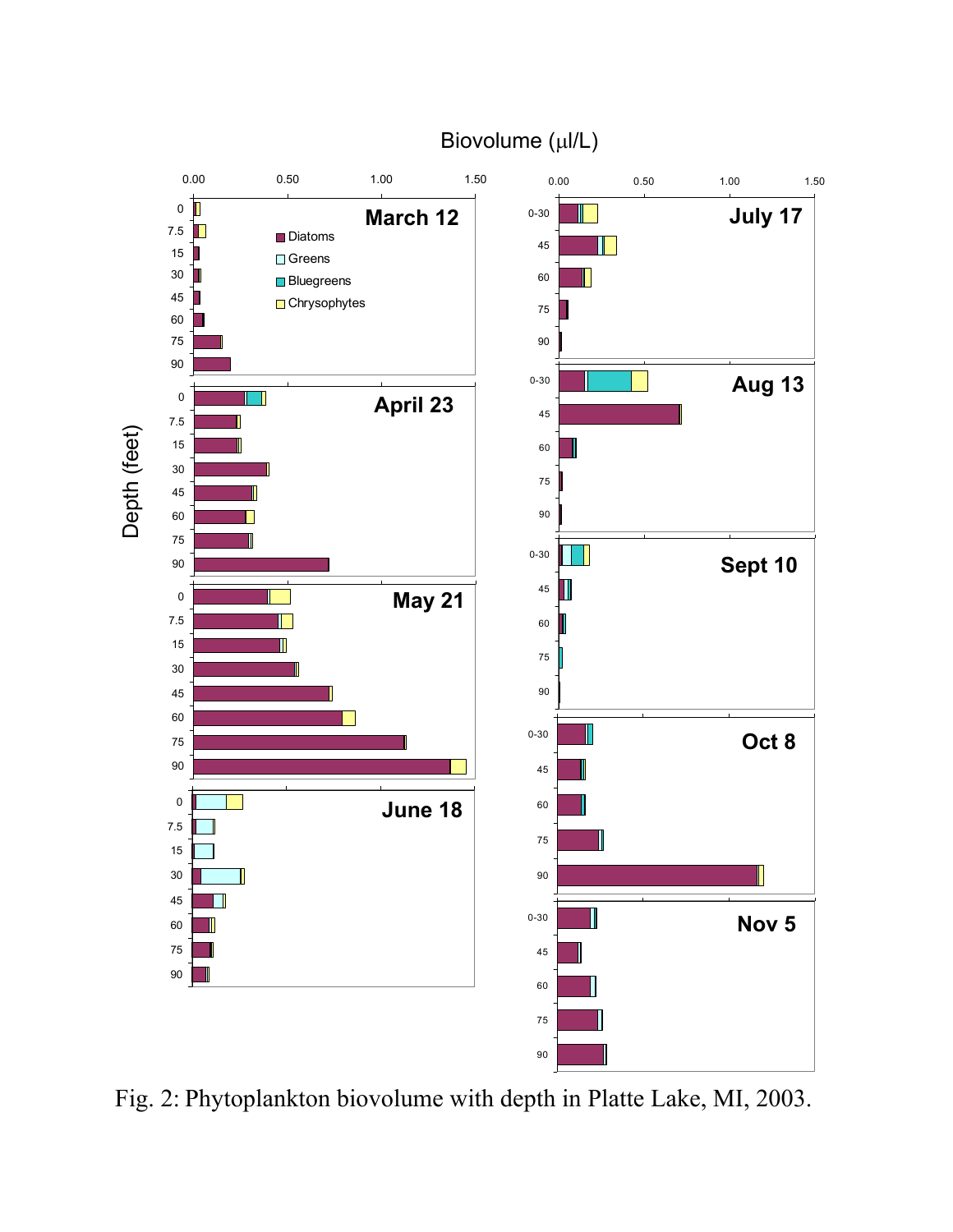## Biovolume (µl/L)



Fig. 2: Phytoplankton biovolume with depth in Platte Lake, MI, 2003.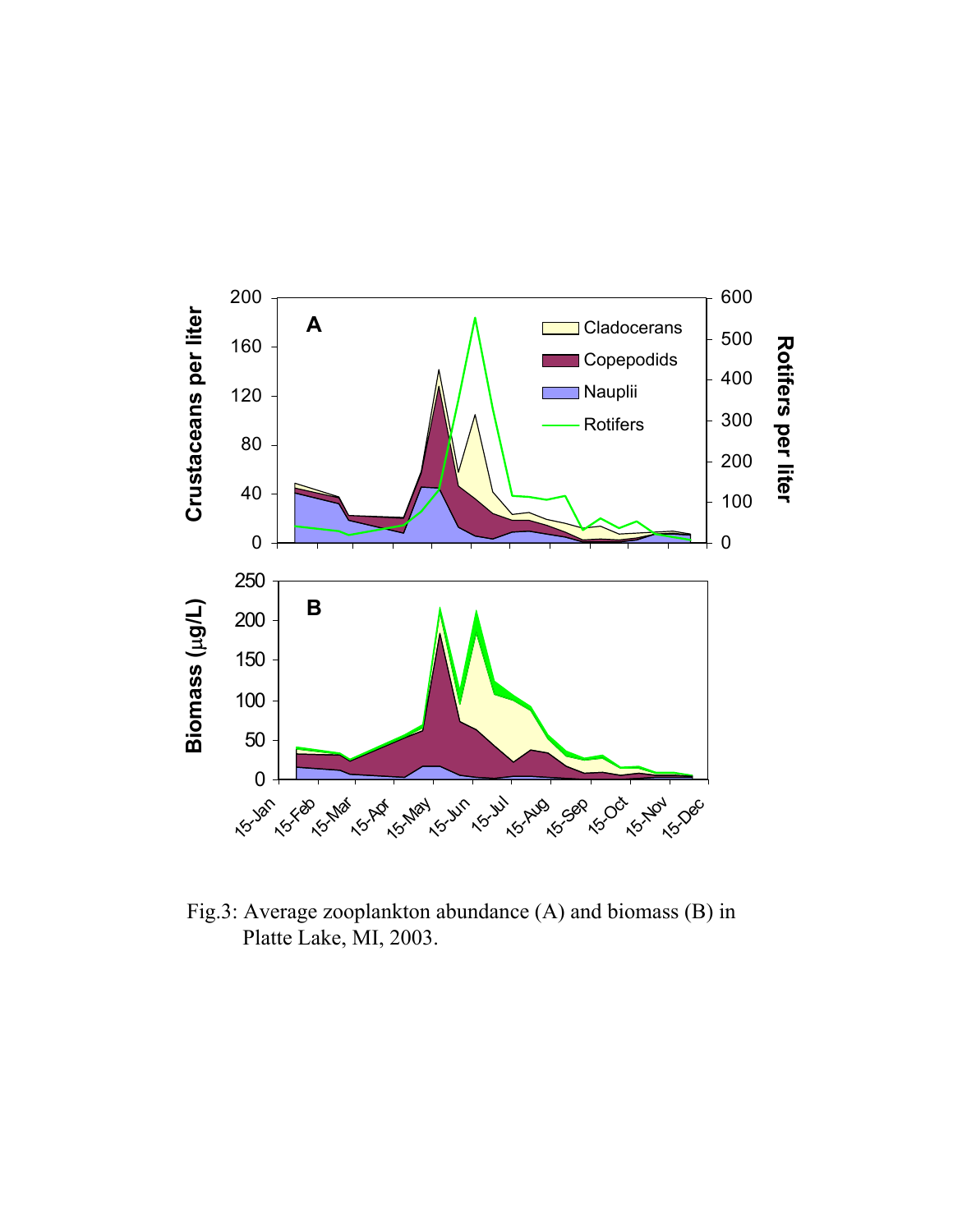

Fig.3: Average zooplankton abundance (A) and biomass (B) in Platte Lake, MI, 2003.